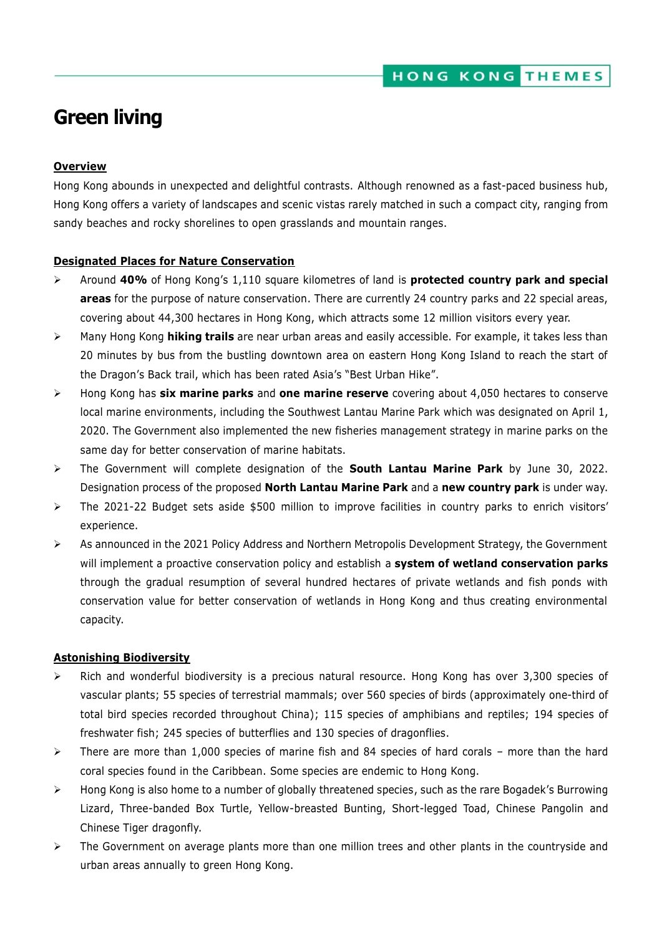# **Green living**

### **Overview**

Hong Kong abounds in unexpected and delightful contrasts. Although renowned as a fast-paced business hub, Hong Kong offers a variety of landscapes and scenic vistas rarely matched in such a compact city, ranging from sandy beaches and rocky shorelines to open grasslands and mountain ranges.

#### **Designated Places for Nature Conservation**

- Around **40%** of Hong Kong's 1,110 square kilometres of land is **protected country park and special areas** for the purpose of nature conservation. There are currently 24 country parks and 22 special areas, covering about 44,300 hectares in Hong Kong, which attracts some 12 million visitors every year.
- Many Hong Kong **hiking trails** are near urban areas and easily accessible. For example, it takes less than 20 minutes by bus from the bustling downtown area on eastern Hong Kong Island to reach the start of the Dragon's Back trail, which has been rated Asia's "Best Urban Hike".
- Hong Kong has **six marine parks** and **one marine reserve** covering about 4,050 hectares to conserve local marine environments, including the Southwest Lantau Marine Park which was designated on April 1, 2020. The Government also implemented the new fisheries management strategy in marine parks on the same day for better conservation of marine habitats.
- The Government will complete designation of the **South Lantau Marine Park** by June 30, 2022. Designation process of the proposed **North Lantau Marine Park** and a **new country park** is under way.
- $\triangleright$  The 2021-22 Budget sets aside \$500 million to improve facilities in country parks to enrich visitors' experience.
- $\triangleright$  As announced in the 2021 Policy Address and Northern Metropolis Development Strategy, the Government will implement a proactive conservation policy and establish a **system of wetland conservation parks** through the gradual resumption of several hundred hectares of private wetlands and fish ponds with conservation value for better conservation of wetlands in Hong Kong and thus creating environmental capacity.

#### **Astonishing Biodiversity**

- $\triangleright$  Rich and wonderful biodiversity is a precious natural resource. Hong Kong has over 3,300 species of vascular plants; 55 species of terrestrial mammals; over 560 species of birds (approximately one-third of total bird species recorded throughout China); 115 species of amphibians and reptiles; 194 species of freshwater fish; 245 species of butterflies and 130 species of dragonflies.
- $\triangleright$  There are more than 1,000 species of marine fish and 84 species of hard corals more than the hard coral species found in the Caribbean. Some species are endemic to Hong Kong.
- Hong Kong is also home to a number of globally threatened species, such as the rare Bogadek's Burrowing Lizard, Three-banded Box Turtle, Yellow-breasted Bunting, Short-legged Toad, Chinese Pangolin and Chinese Tiger dragonfly.
- $\triangleright$  The Government on average plants more than one million trees and other plants in the countryside and urban areas annually to green Hong Kong.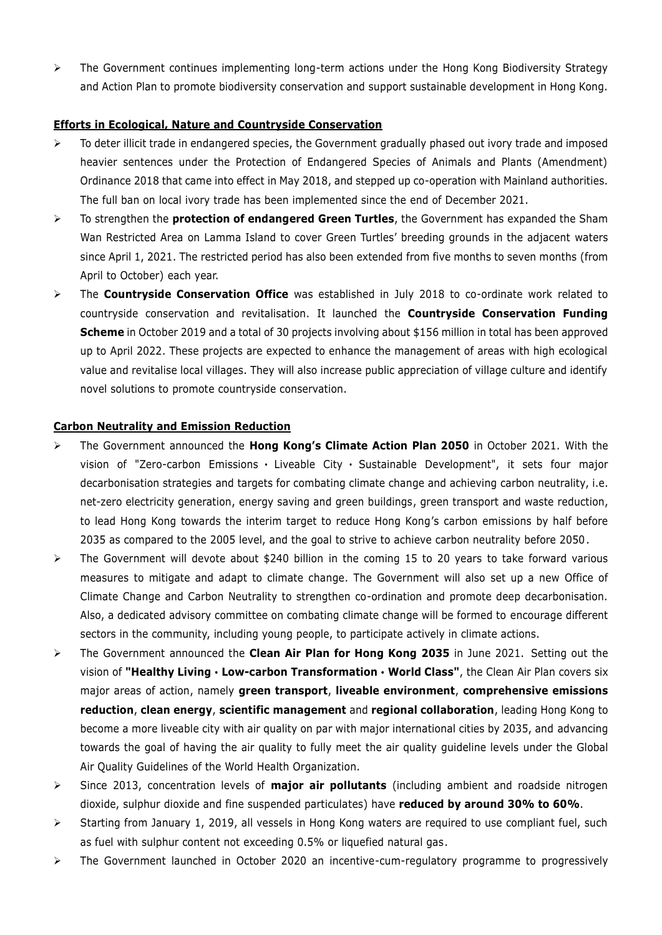$\triangleright$  The Government continues implementing long-term actions under the Hong Kong Biodiversity Strategy and Action Plan to promote biodiversity conservation and support sustainable development in Hong Kong.

# **Efforts in Ecological, Nature and Countryside Conservation**

- $\triangleright$  To deter illicit trade in endangered species, the Government gradually phased out ivory trade and imposed heavier sentences under the Protection of Endangered Species of Animals and Plants (Amendment) Ordinance 2018 that came into effect in May 2018, and stepped up co-operation with Mainland authorities. The full ban on local ivory trade has been implemented since the end of December 2021.
- To strengthen the **protection of endangered Green Turtles**, the Government has expanded the Sham Wan Restricted Area on Lamma Island to cover Green Turtles' breeding grounds in the adjacent waters since April 1, 2021. The restricted period has also been extended from five months to seven months (from April to October) each year.
- The **Countryside Conservation Office** was established in July 2018 to co-ordinate work related to countryside conservation and revitalisation. It launched the **Countryside Conservation Funding Scheme** in October 2019 and a total of 30 projects involving about \$156 million in total has been approved up to April 2022. These projects are expected to enhance the management of areas with high ecological value and revitalise local villages. They will also increase public appreciation of village culture and identify novel solutions to promote countryside conservation.

# **Carbon Neutrality and Emission Reduction**

- The Government announced the **Hong Kong's Climate Action Plan 2050** in October 2021. With the vision of "Zero-carbon Emissions  $\cdot$  Liveable City  $\cdot$  Sustainable Development", it sets four major decarbonisation strategies and targets for combating climate change and achieving carbon neutrality, i.e. net-zero electricity generation, energy saving and green buildings, green transport and waste reduction, to lead Hong Kong towards the interim target to reduce Hong Kong's carbon emissions by half before 2035 as compared to the 2005 level, and the goal to strive to achieve carbon neutrality before 2050.
- The Government will devote about \$240 billion in the coming 15 to 20 years to take forward various measures to mitigate and adapt to climate change. The Government will also set up a new Office of Climate Change and Carbon Neutrality to strengthen co-ordination and promote deep decarbonisation. Also, a dedicated advisory committee on combating climate change will be formed to encourage different sectors in the community, including young people, to participate actively in climate actions.
- The Government announced the **Clean Air Plan for Hong Kong 2035** in June 2021. Setting out the vision of **"Healthy Living**‧**Low-carbon Transformation**‧**World Class"**, the Clean Air Plan covers six major areas of action, namely **green transport**, **liveable environment**, **comprehensive emissions reduction**, **clean energy**, **scientific management** and **regional collaboration**, leading Hong Kong to become a more liveable city with air quality on par with major international cities by 2035, and advancing towards the goal of having the air quality to fully meet the air quality guideline levels under the Global Air Quality Guidelines of the World Health Organization.
- Since 2013, concentration levels of **major air pollutants** (including ambient and roadside nitrogen dioxide, sulphur dioxide and fine suspended particulates) have **reduced by around 30% to 60%**.
- $\triangleright$  Starting from January 1, 2019, all vessels in Hong Kong waters are required to use compliant fuel, such as fuel with sulphur content not exceeding 0.5% or liquefied natural gas.
- $\triangleright$  The Government launched in October 2020 an incentive-cum-regulatory programme to progressively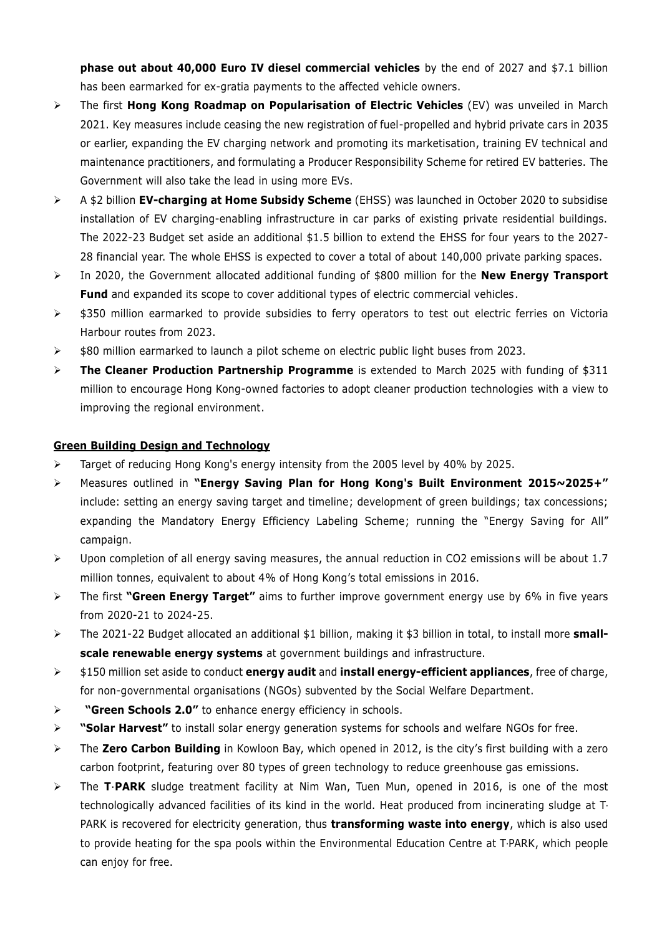**phase out about 40,000 Euro IV diesel commercial vehicles** by the end of 2027 and \$7.1 billion has been earmarked for ex-gratia payments to the affected vehicle owners.

- The first **Hong Kong Roadmap on Popularisation of Electric Vehicles** (EV) was unveiled in March 2021. Key measures include ceasing the new registration of fuel-propelled and hybrid private cars in 2035 or earlier, expanding the EV charging network and promoting its marketisation, training EV technical and maintenance practitioners, and formulating a Producer Responsibility Scheme for retired EV batteries. The Government will also take the lead in using more EVs.
- A \$2 billion **EV-charging at Home Subsidy Scheme** (EHSS) was launched in October 2020 to subsidise installation of EV charging-enabling infrastructure in car parks of existing private residential buildings. The 2022-23 Budget set aside an additional \$1.5 billion to extend the EHSS for four years to the 2027- 28 financial year. The whole EHSS is expected to cover a total of about 140,000 private parking spaces.
- In 2020, the Government allocated additional funding of \$800 million for the **New Energy Transport Fund** and expanded its scope to cover additional types of electric commercial vehicles.
- $\rightarrow$  \$350 million earmarked to provide subsidies to ferry operators to test out electric ferries on Victoria Harbour routes from 2023.
- $\triangleright$  \$80 million earmarked to launch a pilot scheme on electric public light buses from 2023.
- **The Cleaner Production Partnership Programme** is extended to March 2025 with funding of \$311 million to encourage Hong Kong-owned factories to adopt cleaner production technologies with a view to improving the regional environment.

# **Green Building Design and Technology**

- Target of reducing Hong Kong's energy intensity from the 2005 level by 40% by 2025.
- Measures outlined in **"Energy Saving Plan for Hong Kong's Built Environment 2015~2025+"** include: setting an energy saving target and timeline; development of green buildings; tax concessions; expanding the Mandatory Energy Efficiency Labeling Scheme; running the "Energy Saving for All" campaign.
- Upon completion of all energy saving measures, the annual reduction in CO2 emissions will be about 1.7 million tonnes, equivalent to about 4% of Hong Kong's total emissions in 2016.
- The first **"Green Energy Target"** aims to further improve government energy use by 6% in five years from 2020-21 to 2024-25.
- The 2021-22 Budget allocated an additional \$1 billion, making it \$3 billion in total, to install more **smallscale renewable energy systems** at government buildings and infrastructure.
- \$150 million set aside to conduct **energy audit** and **install energy-efficient appliances**, free of charge, for non-governmental organisations (NGOs) subvented by the Social Welfare Department.
- **"Green Schools 2.0"** to enhance energy efficiency in schools.
- **"Solar Harvest"** to install solar energy generation systems for schools and welfare NGOs for free.
- The **Zero Carbon Building** in Kowloon Bay, which opened in 2012, is the city's first building with a zero carbon footprint, featuring over 80 types of green technology to reduce greenhouse gas emissions.
- > The T**·PARK** sludge treatment facility at Nim Wan, Tuen Mun, opened in 2016, is one of the most technologically advanced facilities of its kind in the world. Heat produced from incinerating sludge at T‧ PARK is recovered for electricity generation, thus **transforming waste into energy**, which is also used to provide heating for the spa pools within the Environmental Education Centre at T‧PARK, which people can enjoy for free.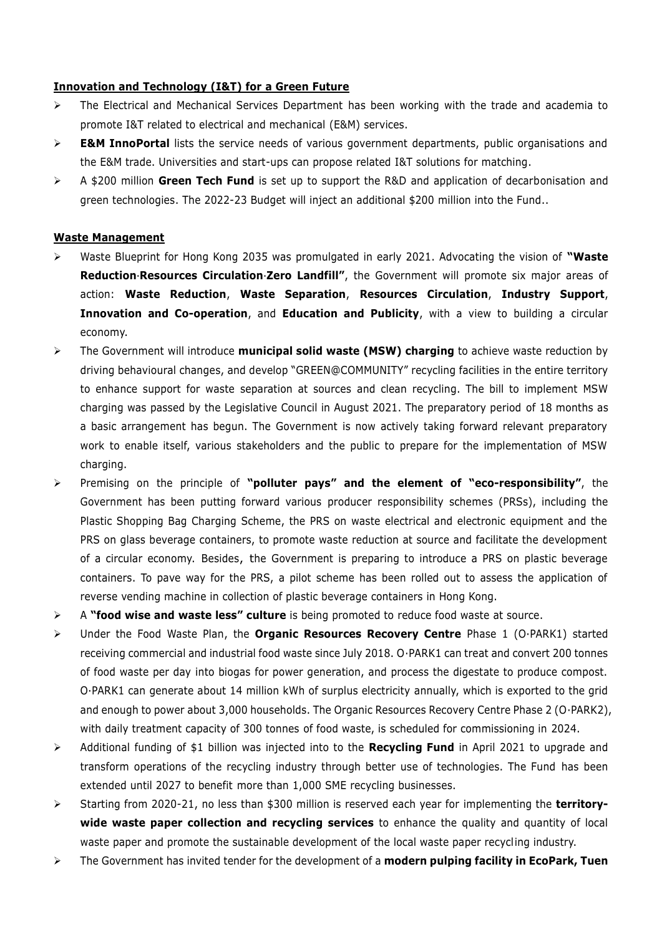### **Innovation and Technology (I&T) for a Green Future**

- $\triangleright$  The Electrical and Mechanical Services Department has been working with the trade and academia to promote I&T related to electrical and mechanical (E&M) services.
- **E&M InnoPortal** lists the service needs of various government departments, public organisations and the E&M trade. Universities and start-ups can propose related I&T solutions for matching.
- A \$200 million **Green Tech Fund** is set up to support the R&D and application of decarbonisation and green technologies. The 2022-23 Budget will inject an additional \$200 million into the Fund..

#### **Waste Management**

- Waste Blueprint for Hong Kong 2035 was promulgated in early 2021. Advocating the vision of **"Waste Reduction‧Resources Circulation‧Zero Landfill"**, the Government will promote six major areas of action: **Waste Reduction**, **Waste Separation**, **Resources Circulation**, **Industry Support**, **Innovation and Co-operation**, and **Education and Publicity**, with a view to building a circular economy.
- The Government will introduce **municipal solid waste (MSW) charging** to achieve waste reduction by driving behavioural changes, and develop "GREEN@COMMUNITY" recycling facilities in the entire territory to enhance support for waste separation at sources and clean recycling. The bill to implement MSW charging was passed by the Legislative Council in August 2021. The preparatory period of 18 months as a basic arrangement has begun. The Government is now actively taking forward relevant preparatory work to enable itself, various stakeholders and the public to prepare for the implementation of MSW charging.
- Premising on the principle of **"polluter pays" and the element of "eco-responsibility"**, the Government has been putting forward various producer responsibility schemes (PRSs), including the Plastic Shopping Bag Charging Scheme, the PRS on waste electrical and electronic equipment and the PRS on glass beverage containers, to promote waste reduction at source and facilitate the development of a circular economy. Besides, the Government is preparing to introduce a PRS on plastic beverage containers. To pave way for the PRS, a pilot scheme has been rolled out to assess the application of reverse vending machine in collection of plastic beverage containers in Hong Kong.
- A **"food wise and waste less" culture** is being promoted to reduce food waste at source.
- Under the Food Waste Plan, the **Organic Resources Recovery Centre** Phase 1 (O∙PARK1) started receiving commercial and industrial food waste since July 2018. O∙PARK1 can treat and convert 200 tonnes of food waste per day into biogas for power generation, and process the digestate to produce compost. O∙PARK1 can generate about 14 million kWh of surplus electricity annually, which is exported to the grid and enough to power about 3,000 households. The Organic Resources Recovery Centre Phase 2 (O∙PARK2), with daily treatment capacity of 300 tonnes of food waste, is scheduled for commissioning in 2024.
- Additional funding of \$1 billion was injected into to the **Recycling Fund** in April 2021 to upgrade and transform operations of the recycling industry through better use of technologies. The Fund has been extended until 2027 to benefit more than 1,000 SME recycling businesses.
- Starting from 2020-21, no less than \$300 million is reserved each year for implementing the **territorywide waste paper collection and recycling services** to enhance the quality and quantity of local waste paper and promote the sustainable development of the local waste paper recycling industry.
- The Government has invited tender for the development of a **modern pulping facility in EcoPark, Tuen**